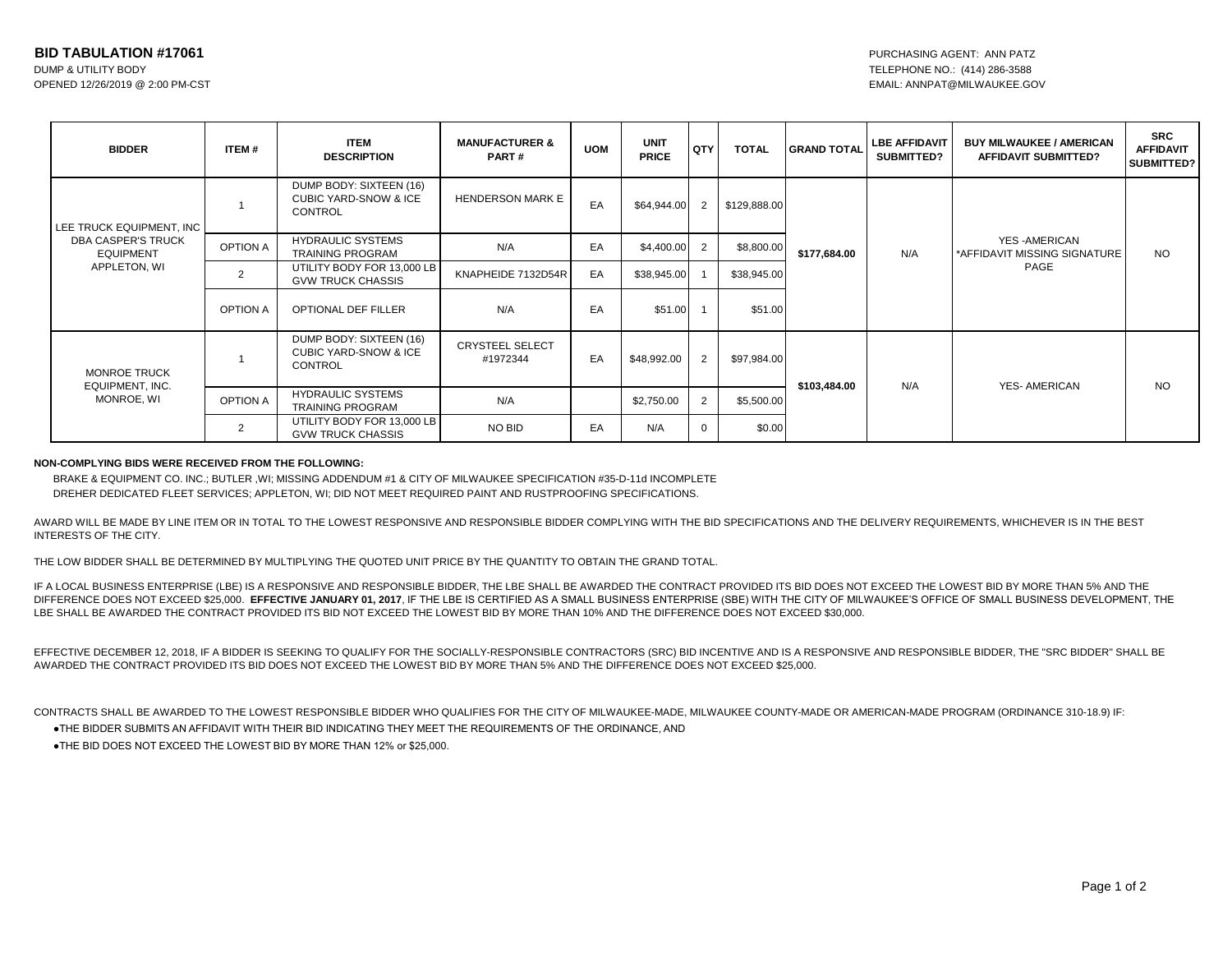| <b>BIDDER</b>                                                                      | ITEM#           | <b>ITEM</b><br><b>DESCRIPTION</b>                                             | <b>MANUFACTURER &amp;</b><br>PART# | <b>UOM</b> | <b>UNIT</b><br><b>PRICE</b> | QTY            | <b>TOTAL</b> | <b>GRAND TOTAL</b>  | <b>LBE AFFIDAVIT</b><br><b>SUBMITTED?</b> | <b>BUY MILWAUKEE / AMERICAN</b><br><b>AFFIDAVIT SUBMITTED?</b> | <b>SRC</b><br><b>AFFIDAVIT</b><br><b>SUBMITTED?</b> |
|------------------------------------------------------------------------------------|-----------------|-------------------------------------------------------------------------------|------------------------------------|------------|-----------------------------|----------------|--------------|---------------------|-------------------------------------------|----------------------------------------------------------------|-----------------------------------------------------|
| LEE TRUCK EQUIPMENT, INC<br>DBA CASPER'S TRUCK<br><b>EQUIPMENT</b><br>APPLETON, WI |                 | DUMP BODY: SIXTEEN (16)<br><b>CUBIC YARD-SNOW &amp; ICE</b><br><b>CONTROL</b> | <b>HENDERSON MARK E</b>            | EA         | \$64,944.00                 | $\overline{2}$ | \$129,888.00 | \$177,684.00        | N/A                                       | <b>YES-AMERICAN</b><br>*AFFIDAVIT MISSING SIGNATURE<br>PAGE    | <b>NO</b>                                           |
|                                                                                    | <b>OPTION A</b> | <b>HYDRAULIC SYSTEMS</b><br><b>TRAINING PROGRAM</b>                           | N/A                                | EA         | \$4,400.00                  |                | \$8,800.00   |                     |                                           |                                                                |                                                     |
|                                                                                    | 2               | UTILITY BODY FOR 13,000 LB<br><b>GVW TRUCK CHASSIS</b>                        | KNAPHEIDE 7132D54R                 | EA         | \$38,945.00                 |                | \$38,945.00  |                     |                                           |                                                                |                                                     |
|                                                                                    | <b>OPTION A</b> | <b>OPTIONAL DEF FILLER</b>                                                    | N/A                                | EA         | \$51.00                     |                | \$51.00      |                     |                                           |                                                                |                                                     |
| <b>MONROE TRUCK</b><br>EQUIPMENT, INC.<br>MONROE, WI                               |                 | DUMP BODY: SIXTEEN (16)<br><b>CUBIC YARD-SNOW &amp; ICE</b><br>CONTROL        | <b>CRYSTEEL SELECT</b><br>#1972344 | EA         | \$48,992.00                 | $\overline{2}$ | \$97,984.00  | N/A<br>\$103,484.00 |                                           | <b>YES-AMERICAN</b>                                            | <b>NO</b>                                           |
|                                                                                    | <b>OPTION A</b> | <b>HYDRAULIC SYSTEMS</b><br><b>TRAINING PROGRAM</b>                           | N/A                                |            | \$2,750.00                  |                | \$5,500.00   |                     |                                           |                                                                |                                                     |
|                                                                                    | $\overline{2}$  | UTILITY BODY FOR 13,000 LB<br><b>GVW TRUCK CHASSIS</b>                        | NO BID                             | EA         | N/A                         |                | \$0.00       |                     |                                           |                                                                |                                                     |

## **NON-COMPLYING BIDS WERE RECEIVED FROM THE FOLLOWING:**

BRAKE & EQUIPMENT CO. INC.; BUTLER ,WI; MISSING ADDENDUM #1 & CITY OF MILWAUKEE SPECIFICATION #35-D-11d INCOMPLETE DREHER DEDICATED FLEET SERVICES; APPLETON, WI; DID NOT MEET REQUIRED PAINT AND RUSTPROOFING SPECIFICATIONS.

AWARD WILL BE MADE BY LINE ITEM OR IN TOTAL TO THE LOWEST RESPONSIVE AND RESPONSIBLE BIDDER COMPLYING WITH THE BID SPECIFICATIONS AND THE DELIVERY REQUIREMENTS, WHICHEVER IS IN THE BEST INTERESTS OF THE CITY.

THE LOW BIDDER SHALL BE DETERMINED BY MULTIPLYING THE QUOTED UNIT PRICE BY THE QUANTITY TO OBTAIN THE GRAND TOTAL.

IF A LOCAL BUSINESS ENTERPRISE (LBE) IS A RESPONSIVE AND RESPONSIBLE BIDDER, THE LBE SHALL BE AWARDED THE CONTRACT PROVIDED ITS BID DOES NOT EXCEED THE LOWEST BID BY MORE THAN 5% AND THE DIFFERENCE DOES NOT EXCEED \$25,000. **EFFECTIVE JANUARY 01, 2017**, IF THE LBE IS CERTIFIED AS A SMALL BUSINESS ENTERPRISE (SBE) WITH THE CITY OF MILWAUKEE'S OFFICE OF SMALL BUSINESS DEVELOPMENT, THE LBE SHALL BE AWARDED THE CONTRACT PROVIDED ITS BID NOT EXCEED THE LOWEST BID BY MORE THAN 10% AND THE DIFFERENCE DOES NOT EXCEED \$30,000.

EFFECTIVE DECEMBER 12, 2018, IF A BIDDER IS SEEKING TO QUALIFY FOR THE SOCIALLY-RESPONSIBLE CONTRACTORS (SRC) BID INCENTIVE AND IS A RESPONSIVE AND RESPONSIBLE BIDDER, THE "SRC BIDDER" SHALL BE AWARDED THE CONTRACT PROVIDED ITS BID DOES NOT EXCEED THE LOWEST BID BY MORE THAN 5% AND THE DIFFERENCE DOES NOT EXCEED \$25,000.

●THE BIDDER SUBMITS AN AFFIDAVIT WITH THEIR BID INDICATING THEY MEET THE REQUIREMENTS OF THE ORDINANCE, AND CONTRACTS SHALL BE AWARDED TO THE LOWEST RESPONSIBLE BIDDER WHO QUALIFIES FOR THE CITY OF MILWAUKEE-MADE, MILWAUKEE COUNTY-MADE OR AMERICAN-MADE PROGRAM (ORDINANCE 310-18.9) IF:

●THE BID DOES NOT EXCEED THE LOWEST BID BY MORE THAN 12% or \$25,000.